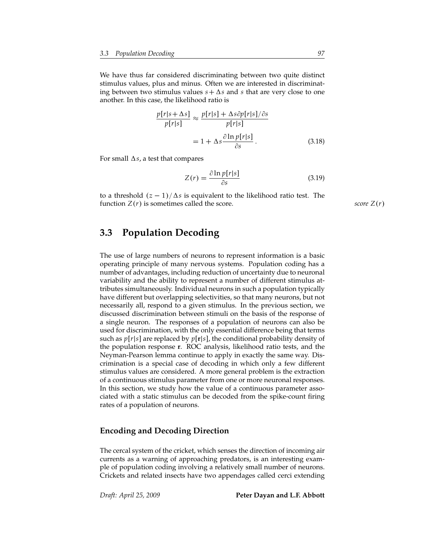We have thus far considered discriminating between two quite distinct stimulus values, plus and minus. Often we are interested in discriminating between two stimulus values  $s + \Delta s$  and *s* that are very close to one another. In this case, the likelihood ratio is

$$
\frac{p[r|s+\Delta s]}{p[r|s]} \approx \frac{p[r|s] + \Delta s \partial p[r|s]/\partial s}{p[r|s]}
$$

$$
= 1 + \Delta s \frac{\partial \ln p[r|s]}{\partial s}. \tag{3.18}
$$

For small  $\Delta s$ , a test that compares

$$
Z(r) = \frac{\partial \ln p[r|s]}{\partial s} \tag{3.19}
$$

to a threshold  $(z - 1)/\Delta s$  is equivalent to the likelihood ratio test. The function  $Z(r)$  is sometimes called the score. *score*  $Z(r)$ 

## **3.3 Population Decoding**

The use of large numbers of neurons to represent information is a basic operating principle of many nervous systems. Population coding has a number of advantages, including reduction of uncertainty due to neuronal variability and the ability to represent a number of different stimulus attributes simultaneously. Individual neurons in such a population typically have different but overlapping selectivities, so that many neurons, but not necessarily all, respond to a given stimulus. In the previous section, we discussed discrimination between stimuli on the basis of the response of a single neuron. The responses of a population of neurons can also be used for discrimination, with the only essential difference being that terms such as *p*[*r*|*s*] are replaced by *p*[**r**|*s*], the conditional probability density of the population response **r**. ROC analysis, likelihood ratio tests, and the Neyman-Pearson lemma continue to apply in exactly the same way. Discrimination is a special case of decoding in which only a few different stimulus values are considered. A more general problem is the extraction of a continuous stimulus parameter from one or more neuronal responses. In this section, we study how the value of a continuous parameter associated with a static stimulus can be decoded from the spike-count firing rates of a population of neurons.

### **Encoding and Decoding Direction**

The cercal system of the cricket, which senses the direction of incoming air currents as a warning of approaching predators, is an interesting example of population coding involving a relatively small number of neurons. Crickets and related insects have two appendages called cerci extending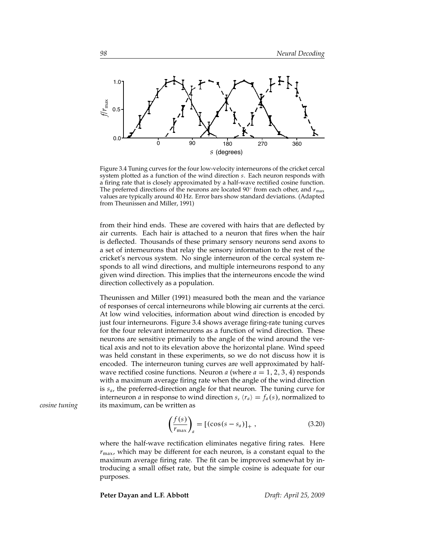

Figure 3.4 Tuning curves for the four low-velocity interneurons of the cricket cercal system plotted as a function of the wind direction *s*. Each neuron responds with a firing rate that is closely approximated by a half-wave rectified cosine function. The preferred directions of the neurons are located 90◦ from each other, and *r*max values are typically around 40 Hz. Error bars show standard deviations. (Adapted from Theunissen and Miller, 1991)

from their hind ends. These are covered with hairs that are deflected by air currents. Each hair is attached to a neuron that fires when the hair is deflected. Thousands of these primary sensory neurons send axons to a set of interneurons that relay the sensory information to the rest of the cricket's nervous system. No single interneuron of the cercal system responds to all wind directions, and multiple interneurons respond to any given wind direction. This implies that the interneurons encode the wind direction collectively as a population.

Theunissen and Miller (1991) measured both the mean and the variance of responses of cercal interneurons while blowing air currents at the cerci. At low wind velocities, information about wind direction is encoded by just four interneurons. Figure 3.4 shows average firing-rate tuning curves for the four relevant interneurons as a function of wind direction. These neurons are sensitive primarily to the angle of the wind around the vertical axis and not to its elevation above the horizontal plane. Wind speed was held constant in these experiments, so we do not discuss how it is encoded. The interneuron tuning curves are well approximated by halfwave rectified cosine functions. Neuron  $a$  (where  $a = 1, 2, 3, 4$ ) responds with a maximum average firing rate when the angle of the wind direction is *sa*, the preferred-direction angle for that neuron. The tuning curve for interneuron *a* in response to wind direction *s*,  $\langle r_a \rangle = f_a(s)$ , normalized to *cosine tuning* its maximum, can be written as

$$
\left(\frac{f(s)}{r_{\text{max}}}\right)_a = \left[ (\cos(s - s_a))_+ ,\right. \tag{3.20}
$$

where the half-wave rectification eliminates negative firing rates. Here  $r_{\text{max}}$ , which may be different for each neuron, is a constant equal to the maximum average firing rate. The fit can be improved somewhat by introducing a small offset rate, but the simple cosine is adequate for our purposes.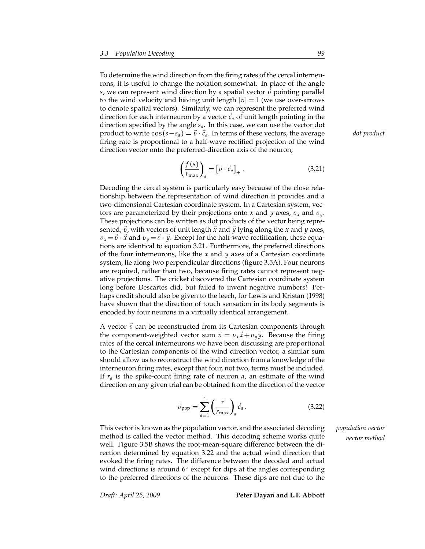To determine the wind direction from the firing rates of the cercal interneurons, it is useful to change the notation somewhat. In place of the angle *s*, we can represent wind direction by a spatial vector  $\vec{v}$  pointing parallel to the wind velocity and having unit length  $|\vec{v}| = 1$  (we use over-arrows to denote spatial vectors). Similarly, we can represent the preferred wind direction for each interneuron by a vector  $\vec{c}_a$  of unit length pointing in the direction specified by the angle *sa*. In this case, we can use the vector dot product to write  $\cos(s - s_a) = \vec{v} \cdot \vec{c}_a$ . In terms of these vectors, the average *dot product* firing rate is proportional to a half-wave rectified projection of the wind direction vector onto the preferred-direction axis of the neuron,

$$
\left(\frac{f(s)}{r_{\text{max}}}\right)_a = \left[\vec{v} \cdot \vec{c}_a\right]_+ \,. \tag{3.21}
$$

Decoding the cercal system is particularly easy because of the close relationship between the representation of wind direction it provides and a two-dimensional Cartesian coordinate system. In a Cartesian system, vectors are parameterized by their projections onto *x* and *y* axes,  $v_x$  and  $v_y$ . These projections can be written as dot products of the vector being represented,  $\vec{v}$ , with vectors of unit length  $\vec{x}$  and  $\vec{y}$  lying along the *x* and *y* axes,  $v_x = \vec{v} \cdot \vec{x}$  and  $v_y = \vec{v} \cdot \vec{y}$ . Except for the half-wave rectification, these equations are identical to equation 3.21. Furthermore, the preferred directions of the four interneurons, like the *x* and *y* axes of a Cartesian coordinate system, lie along two perpendicular directions (figure 3.5A). Four neurons are required, rather than two, because firing rates cannot represent negative projections. The cricket discovered the Cartesian coordinate system long before Descartes did, but failed to invent negative numbers! Perhaps credit should also be given to the leech, for Lewis and Kristan (1998) have shown that the direction of touch sensation in its body segments is encoded by four neurons in a virtually identical arrangement.

A vector  $\vec{v}$  can be reconstructed from its Cartesian components through the component-weighted vector sum  $\vec{v} = v_x \vec{x} + v_y \vec{y}$ . Because the firing rates of the cercal interneurons we have been discussing are proportional to the Cartesian components of the wind direction vector, a similar sum should allow us to reconstruct the wind direction from a knowledge of the interneuron firing rates, except that four, not two, terms must be included. If *r<sup>a</sup>* is the spike-count firing rate of neuron *a*, an estimate of the wind direction on any given trial can be obtained from the direction of the vector

$$
\vec{v}_{\text{pop}} = \sum_{a=1}^{4} \left(\frac{r}{r_{\text{max}}}\right)_a \vec{c}_a \,. \tag{3.22}
$$

This vector is known as the population vector, and the associated decoding *population vector* method is called the vector method. This decoding scheme works quite *vector method* well. Figure 3.5B shows the root-mean-square difference between the direction determined by equation 3.22 and the actual wind direction that evoked the firing rates. The difference between the decoded and actual wind directions is around  $6°$  except for dips at the angles corresponding to the preferred directions of the neurons. These dips are not due to the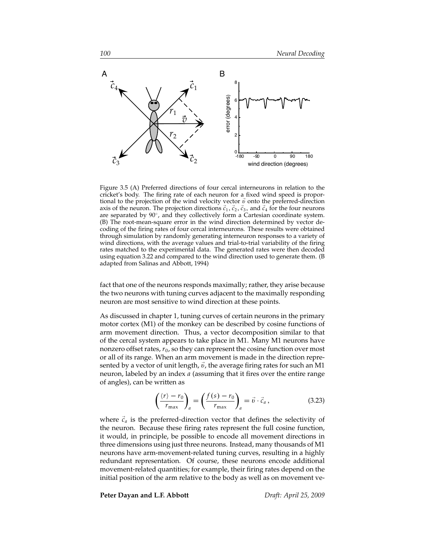

Figure 3.5 (A) Preferred directions of four cercal interneurons in relation to the cricket's body. The firing rate of each neuron for a fixed wind speed is proportional to the projection of the wind velocity vector  $\vec{v}$  onto the preferred-direction axis of the neuron. The projection directions  $\vec{c}_1$ ,  $\vec{c}_2$ ,  $\vec{c}_3$ , and  $\vec{c}_4$  for the four neurons are separated by 90°, and they collectively form a Cartesian coordinate system. (B) The root-mean-square error in the wind direction determined by vector decoding of the firing rates of four cercal interneurons. These results were obtained through simulation by randomly generating interneuron responses to a variety of wind directions, with the average values and trial-to-trial variability of the firing rates matched to the experimental data. The generated rates were then decoded using equation 3.22 and compared to the wind direction used to generate them. (B adapted from Salinas and Abbott, 1994)

fact that one of the neurons responds maximally; rather, they arise because the two neurons with tuning curves adjacent to the maximally responding neuron are most sensitive to wind direction at these points.

As discussed in chapter 1, tuning curves of certain neurons in the primary motor cortex (M1) of the monkey can be described by cosine functions of arm movement direction. Thus, a vector decomposition similar to that of the cercal system appears to take place in M1. Many M1 neurons have nonzero offset rates,  $r_0$ , so they can represent the cosine function over most or all of its range. When an arm movement is made in the direction represented by a vector of unit length,  $\vec{v}$ , the average firing rates for such an M1 neuron, labeled by an index *a* (assuming that it fires over the entire range of angles), can be written as

$$
\left(\frac{\langle r \rangle - r_0}{r_{\text{max}}}\right)_a = \left(\frac{f(s) - r_0}{r_{\text{max}}}\right)_a = \vec{v} \cdot \vec{c}_a, \qquad (3.23)
$$

where  $\vec{c}_a$  is the preferred-direction vector that defines the selectivity of the neuron. Because these firing rates represent the full cosine function, it would, in principle, be possible to encode all movement directions in three dimensions using just three neurons. Instead, many thousands of M1 neurons have arm-movement-related tuning curves, resulting in a highly redundant representation. Of course, these neurons encode additional movement-related quantities; for example, their firing rates depend on the initial position of the arm relative to the body as well as on movement ve-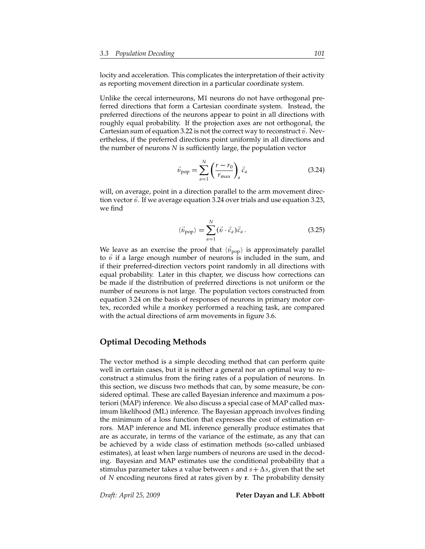locity and acceleration. This complicates the interpretation of their activity as reporting movement direction in a particular coordinate system.

Unlike the cercal interneurons, M1 neurons do not have orthogonal preferred directions that form a Cartesian coordinate system. Instead, the preferred directions of the neurons appear to point in all directions with roughly equal probability. If the projection axes are not orthogonal, the Cartesian sum of equation 3.22 is not the correct way to reconstruct  $\vec{v}$ . Nevertheless, if the preferred directions point uniformly in all directions and the number of neurons *N* is sufficiently large, the population vector

$$
\vec{v}_{\text{pop}} = \sum_{a=1}^{N} \left( \frac{r - r_0}{r_{\text{max}}} \right)_a \vec{c}_a \tag{3.24}
$$

will, on average, point in a direction parallel to the arm movement direction vector  $\vec{v}$ . If we average equation 3.24 over trials and use equation 3.23, we find

$$
\langle \vec{v}_{\text{pop}} \rangle = \sum_{a=1}^{N} (\vec{v} \cdot \vec{c}_a) \vec{c}_a. \tag{3.25}
$$

We leave as an exercise the proof that  $\langle \vec{v}_{\text{pop}} \rangle$  is approximately parallel to  $\vec{v}$  if a large enough number of neurons is included in the sum, and if their preferred-direction vectors point randomly in all directions with equal probability. Later in this chapter, we discuss how corrections can be made if the distribution of preferred directions is not uniform or the number of neurons is not large. The population vectors constructed from equation 3.24 on the basis of responses of neurons in primary motor cortex, recorded while a monkey performed a reaching task, are compared with the actual directions of arm movements in figure 3.6.

## **Optimal Decoding Methods**

The vector method is a simple decoding method that can perform quite well in certain cases, but it is neither a general nor an optimal way to reconstruct a stimulus from the firing rates of a population of neurons. In this section, we discuss two methods that can, by some measure, be considered optimal. These are called Bayesian inference and maximum a posteriori (MAP) inference. We also discuss a special case of MAP called maximum likelihood (ML) inference. The Bayesian approach involves finding the minimum of a loss function that expresses the cost of estimation errors. MAP inference and ML inference generally produce estimates that are as accurate, in terms of the variance of the estimate, as any that can be achieved by a wide class of estimation methods (so-called unbiased estimates), at least when large numbers of neurons are used in the decoding. Bayesian and MAP estimates use the conditional probability that a stimulus parameter takes a value between *s* and  $s + \Delta s$ , given that the set of *N* encoding neurons fired at rates given by **r**. The probability density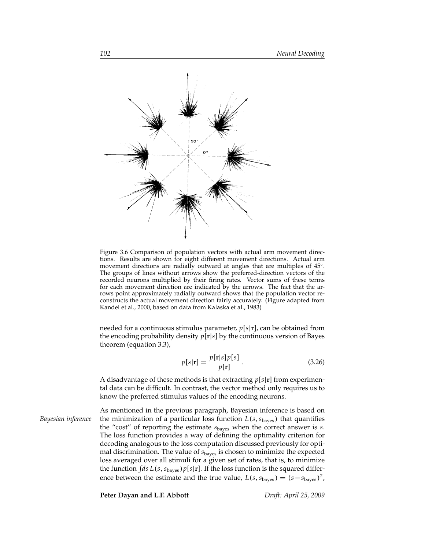

Figure 3.6 Comparison of population vectors with actual arm movement directions. Results are shown for eight different movement directions. Actual arm movement directions are radially outward at angles that are multiples of 45°. The groups of lines without arrows show the preferred-direction vectors of the recorded neurons multiplied by their firing rates. Vector sums of these terms for each movement direction are indicated by the arrows. The fact that the arrows point approximately radially outward shows that the population vector reconstructs the actual movement direction fairly accurately. (Figure adapted from Kandel et al., 2000, based on data from Kalaska et al., 1983)

needed for a continuous stimulus parameter, *p*[*s*|**r**], can be obtained from the encoding probability density *p*[**r**|*s*] by the continuous version of Bayes theorem (equation 3.3),

$$
p[s|\mathbf{r}] = \frac{p[\mathbf{r}|s]p[s]}{p[\mathbf{r}]}.
$$
\n(3.26)

A disadvantage of these methods is that extracting *p*[*s*|**r**] from experimental data can be difficult. In contrast, the vector method only requires us to know the preferred stimulus values of the encoding neurons.

As mentioned in the previous paragraph, Bayesian inference is based on *Bayesian inference* the minimization of a particular loss function  $L(s, s_{\text{bayes}})$  that quantifies the "cost" of reporting the estimate *s*bayes when the correct answer is *s*. The loss function provides a way of defining the optimality criterion for decoding analogous to the loss computation discussed previously for optimal discrimination. The value of *s*bayes is chosen to minimize the expected loss averaged over all stimuli for a given set of rates, that is, to minimize the function  $\int ds L(s, s_{\text{bayes}}) p[s|\mathbf{r}]$ . If the loss function is the squared difference between the estimate and the true value,  $L(s, s_{\text{bayes}}) = (s - s_{\text{bayes}})^2$ ,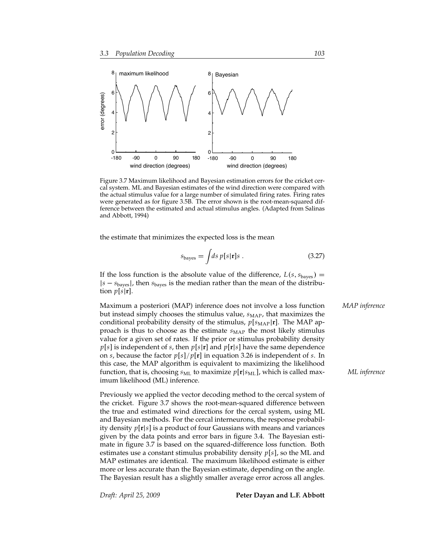

Figure 3.7 Maximum likelihood and Bayesian estimation errors for the cricket cercal system. ML and Bayesian estimates of the wind direction were compared with the actual stimulus value for a large number of simulated firing rates. Firing rates were generated as for figure 3.5B. The error shown is the root-mean-squared difference between the estimated and actual stimulus angles. (Adapted from Salinas and Abbott, 1994)

the estimate that minimizes the expected loss is the mean

$$
s_{\text{bayes}} = \int ds \, p[s|\mathbf{r}]s \,. \tag{3.27}
$$

If the loss function is the absolute value of the difference,  $L(s, s_{\text{bayes}}) =$ |*s* − *s*bayes |, then *s*bayes is the median rather than the mean of the distribution  $p[s|\mathbf{r}]$ .

Maximum a posteriori (MAP) inference does not involve a loss function *MAP inference* but instead simply chooses the stimulus value,  $s_{\text{MAP}}$ , that maximizes the conditional probability density of the stimulus,  $p[s_{\text{MAP}}|\mathbf{r}]$ . The MAP approach is thus to choose as the estimate  $s_{\text{MAP}}$  the most likely stimulus value for a given set of rates. If the prior or stimulus probability density *p*[*s*] is independent of *s*, then *p*[*s*|**r**] and *p*[**r**|*s*] have the same dependence on *s*, because the factor *p*[*s*]/*p*[**r**] in equation 3.26 is independent of *s*. In this case, the MAP algorithm is equivalent to maximizing the likelihood function, that is, choosing *s*ML to maximize *p*[**r**|*s*ML], which is called max- *ML inference* imum likelihood (ML) inference.

Previously we applied the vector decoding method to the cercal system of the cricket. Figure 3.7 shows the root-mean-squared difference between the true and estimated wind directions for the cercal system, using ML and Bayesian methods. For the cercal interneurons, the response probability density *p*[**r**|*s*] is a product of four Gaussians with means and variances given by the data points and error bars in figure 3.4. The Bayesian estimate in figure 3.7 is based on the squared-difference loss function. Both estimates use a constant stimulus probability density *p*[*s*], so the ML and MAP estimates are identical. The maximum likelihood estimate is either more or less accurate than the Bayesian estimate, depending on the angle. The Bayesian result has a slightly smaller average error across all angles.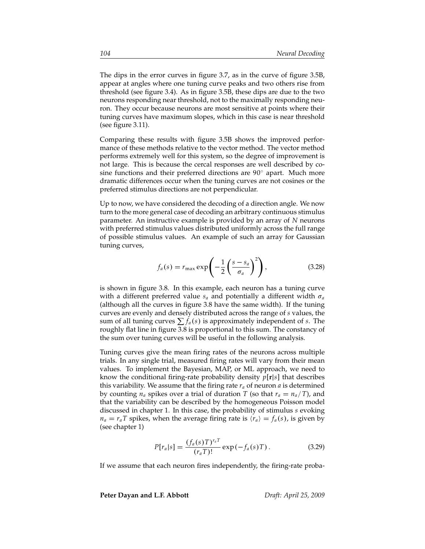The dips in the error curves in figure 3.7, as in the curve of figure 3.5B, appear at angles where one tuning curve peaks and two others rise from threshold (see figure 3.4). As in figure 3.5B, these dips are due to the two neurons responding near threshold, not to the maximally responding neuron. They occur because neurons are most sensitive at points where their tuning curves have maximum slopes, which in this case is near threshold (see figure 3.11).

Comparing these results with figure 3.5B shows the improved performance of these methods relative to the vector method. The vector method performs extremely well for this system, so the degree of improvement is not large. This is because the cercal responses are well described by cosine functions and their preferred directions are  $90^\circ$  apart. Much more dramatic differences occur when the tuning curves are not cosines or the preferred stimulus directions are not perpendicular.

Up to now, we have considered the decoding of a direction angle. We now turn to the more general case of decoding an arbitrary continuous stimulus parameter. An instructive example is provided by an array of *N* neurons with preferred stimulus values distributed uniformly across the full range of possible stimulus values. An example of such an array for Gaussian tuning curves,

$$
f_a(s) = r_{\max} \exp\left(-\frac{1}{2} \left(\frac{s - s_a}{\sigma_a}\right)^2\right),\tag{3.28}
$$

is shown in figure 3.8. In this example, each neuron has a tuning curve with a different preferred value  $s_a$  and potentially a different width  $\sigma_a$ (although all the curves in figure 3.8 have the same width). If the tuning curves are evenly and densely distributed across the range of *s* values, the sum of all tuning curves  $\sum f_a(s)$  is approximately independent of *s*. The roughly flat line in figure 3.8 is proportional to this sum. The constancy of the sum over tuning curves will be useful in the following analysis.

Tuning curves give the mean firing rates of the neurons across multiple trials. In any single trial, measured firing rates will vary from their mean values. To implement the Bayesian, MAP, or ML approach, we need to know the conditional firing-rate probability density *p*[**r**|*s*] that describes this variability. We assume that the firing rate  $r_a$  of neuron *a* is determined by counting  $n_a$  spikes over a trial of duration *T* (so that  $r_a = n_a/T$ ), and that the variability can be described by the homogeneous Poisson model discussed in chapter 1. In this case, the probability of stimulus *s* evoking  $n_a = r_a T$  spikes, when the average firing rate is  $\langle r_a \rangle = f_a(s)$ , is given by (see chapter 1)

$$
P[r_a|s] = \frac{(f_a(s)T)^{r_a T}}{(r_a T)!} \exp(-f_a(s)T). \tag{3.29}
$$

If we assume that each neuron fires independently, the firing-rate proba-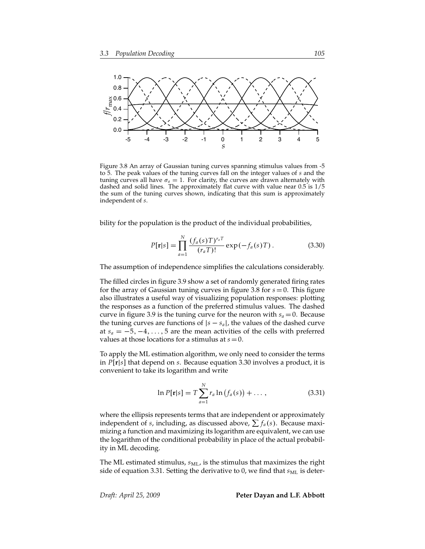

Figure 3.8 An array of Gaussian tuning curves spanning stimulus values from -5 to 5. The peak values of the tuning curves fall on the integer values of *s* and the tuning curves all have  $\sigma_a = 1$ . For clarity, the curves are drawn alternately with dashed and solid lines. The approximately flat curve with value near 0.5 is 1/5 the sum of the tuning curves shown, indicating that this sum is approximately independent of *s*.

bility for the population is the product of the individual probabilities,

$$
P[\mathbf{r}|s] = \prod_{a=1}^{N} \frac{(f_a(s)T)^{r_a T}}{(r_a T)!} \exp(-f_a(s)T). \tag{3.30}
$$

The assumption of independence simplifies the calculations considerably.

The filled circles in figure 3.9 show a set of randomly generated firing rates for the array of Gaussian tuning curves in figure 3.8 for *s* = 0. This figure also illustrates a useful way of visualizing population responses: plotting the responses as a function of the preferred stimulus values. The dashed curve in figure 3.9 is the tuning curve for the neuron with  $s_a = 0$ . Because the tuning curves are functions of  $|s - s_a|$ , the values of the dashed curve at  $s_a = -5, -4, \ldots, 5$  are the mean activities of the cells with preferred values at those locations for a stimulus at  $s=0$ .

To apply the ML estimation algorithm, we only need to consider the terms in *P*[**r**|*s*] that depend on *s*. Because equation 3.30 involves a product, it is convenient to take its logarithm and write

$$
\ln P[\mathbf{r}|s] = T \sum_{a=1}^{N} r_a \ln (f_a(s)) + \dots, \qquad (3.31)
$$

where the ellipsis represents terms that are independent or approximately independent of *s*, including, as discussed above,  $\sum f_a(s)$ . Because maximizing a function and maximizing its logarithm are equivalent, we can use the logarithm of the conditional probability in place of the actual probability in ML decoding.

The ML estimated stimulus,  $s_{ML}$ , is the stimulus that maximizes the right side of equation 3.31. Setting the derivative to 0, we find that  $s_{ML}$  is deter-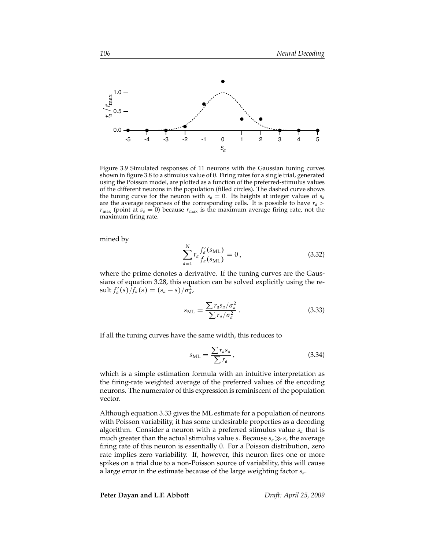

Figure 3.9 Simulated responses of 11 neurons with the Gaussian tuning curves shown in figure 3.8 to a stimulus value of 0. Firing rates for a single trial, generated using the Poisson model, are plotted as a function of the preferred-stimulus values of the different neurons in the population (filled circles). The dashed curve shows the tuning curve for the neuron with  $s_a = 0$ . Its heights at integer values of  $s_a$ are the average responses of the corresponding cells. It is possible to have  $r_a$  >  $r_{\text{max}}$  (point at  $s_a = 0$ ) because  $r_{\text{max}}$  is the maximum average firing rate, not the maximum firing rate.

mined by

$$
\sum_{a=1}^{N} r_a \frac{f'_a(s_{\text{ML}})}{f_a(s_{\text{ML}})} = 0, \qquad (3.32)
$$

where the prime denotes a derivative. If the tuning curves are the Gaussians of equation 3.28, this equation can be solved explicitly using the re- $\frac{1}{2}$  sult  $f'_a(s)/f_a(s) = \frac{s_a - s}{\sigma_a^2}$ ,

$$
s_{\rm ML} = \frac{\sum r_a s_a / \sigma_a^2}{\sum r_a / \sigma_a^2} \,. \tag{3.33}
$$

If all the tuning curves have the same width, this reduces to

$$
s_{\rm ML} = \frac{\sum r_a s_a}{\sum r_a},\tag{3.34}
$$

which is a simple estimation formula with an intuitive interpretation as the firing-rate weighted average of the preferred values of the encoding neurons. The numerator of this expression is reminiscent of the population vector.

Although equation 3.33 gives the ML estimate for a population of neurons with Poisson variability, it has some undesirable properties as a decoding algorithm. Consider a neuron with a preferred stimulus value *s<sup>a</sup>* that is much greater than the actual stimulus value *s*. Because  $s_a \gg s$ , the average firing rate of this neuron is essentially 0. For a Poisson distribution, zero rate implies zero variability. If, however, this neuron fires one or more spikes on a trial due to a non-Poisson source of variability, this will cause a large error in the estimate because of the large weighting factor *sa*.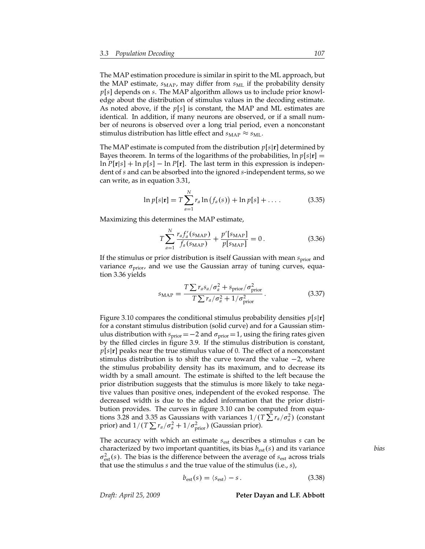The MAP estimation procedure is similar in spirit to the ML approach, but the MAP estimate,  $s_{\text{MAP}}$ , may differ from  $s_{\text{ML}}$  if the probability density *p*[*s*] depends on *s*. The MAP algorithm allows us to include prior knowledge about the distribution of stimulus values in the decoding estimate. As noted above, if the *p*[*s*] is constant, the MAP and ML estimates are identical. In addition, if many neurons are observed, or if a small number of neurons is observed over a long trial period, even a nonconstant stimulus distribution has little effect and  $s_{\text{MAP}} \approx s_{\text{ML}}$ .

The MAP estimate is computed from the distribution *p*[*s*|**r**] determined by Bayes theorem. In terms of the logarithms of the probabilities,  $\ln p[s|\mathbf{r}] =$  $\ln P[\mathbf{r}|s] + \ln p[s] - \ln P[\mathbf{r}]$ . The last term in this expression is independent of *s* and can be absorbed into the ignored *s*-independent terms, so we can write, as in equation 3.31,

$$
\ln p[s|\mathbf{r}] = T \sum_{a=1}^{N} r_a \ln (f_a(s)) + \ln p[s] + \dots
$$
 (3.35)

Maximizing this determines the MAP estimate,

$$
T\sum_{a=1}^{N} \frac{r_a f_a'(s_{\text{MAP}})}{f_a(s_{\text{MAP}})} + \frac{p'[s_{\text{MAP}}]}{p[s_{\text{MAP}}]} = 0.
$$
 (3.36)

If the stimulus or prior distribution is itself Gaussian with mean  $s_{\text{prior}}$  and variance  $\sigma_{\text{prior}}$ , and we use the Gaussian array of tuning curves, equation 3.36 yields

$$
s_{\text{MAP}} = \frac{T \sum r_a s_a / \sigma_a^2 + s_{\text{prior}} / \sigma_{\text{prior}}^2}{T \sum r_a / \sigma_a^2 + 1 / \sigma_{\text{prior}}^2} \,. \tag{3.37}
$$

Figure 3.10 compares the conditional stimulus probability densities *p*[*s*|**r**] for a constant stimulus distribution (solid curve) and for a Gaussian stimulus distribution with  $s_{prior}=-2$  and  $\sigma_{prior}=1$ , using the firing rates given by the filled circles in figure 3.9. If the stimulus distribution is constant, *p*[*s*|**r**] peaks near the true stimulus value of 0. The effect of a nonconstant stimulus distribution is to shift the curve toward the value −2, where the stimulus probability density has its maximum, and to decrease its width by a small amount. The estimate is shifted to the left because the prior distribution suggests that the stimulus is more likely to take negative values than positive ones, independent of the evoked response. The decreased width is due to the added information that the prior distribution provides. The curves in figure 3.10 can be computed from equations 3.28 and 3.35 as Gaussians with variances  $1/(T \sum r_a/\sigma_a^2)$  (constant prior) and  $1/(T \sum r_a/\sigma_a^2 + 1/\sigma_{\text{prior}}^2)$  (Gaussian prior).

The accuracy with which an estimate *s*est describes a stimulus *s* can be characterized by two important quantities, its bias *b*est(*s*) and its variance *bias*  $\sigma_{\text{est}}^2(s)$ . The bias is the difference between the average of  $s_{\text{est}}$  across trials that use the stimulus *s* and the true value of the stimulus (i.e., *s*),

$$
b_{\text{est}}(s) = \langle s_{\text{est}} \rangle - s. \tag{3.38}
$$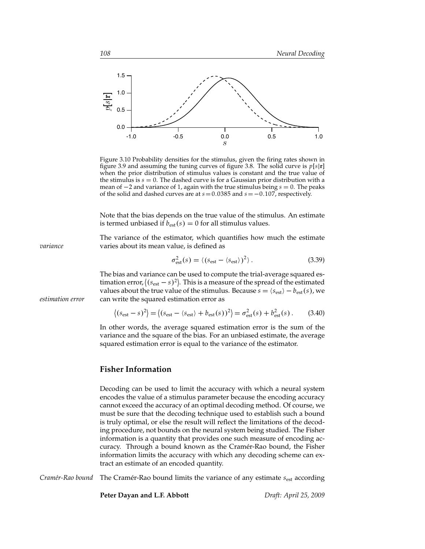

Figure 3.10 Probability densities for the stimulus, given the firing rates shown in figure 3.9 and assuming the tuning curves of figure 3.8. The solid curve is *p*[*s*|**r**] when the prior distribution of stimulus values is constant and the true value of the stimulus is  $s = 0$ . The dashed curve is for a Gaussian prior distribution with a mean of −2 and variance of 1, again with the true stimulus being *s* = 0. The peaks of the solid and dashed curves are at  $s = 0.0385$  and  $s = -0.107$ , respectively.

Note that the bias depends on the true value of the stimulus. An estimate is termed unbiased if  $b_{est}(s) = 0$  for all stimulus values.

The variance of the estimator, which quantifies how much the estimate *variance* varies about its mean value, is defined as

$$
\sigma_{\text{est}}^2(s) = \langle (s_{\text{est}} - \langle s_{\text{est}} \rangle)^2 \rangle. \tag{3.39}
$$

The bias and variance can be used to compute the trial-average squared estimation error,  $\left\langle (s_{est} - s)^2 \right\rangle$ . This is a measure of the spread of the estimated values about the true value of the stimulus. Because  $s = \langle s_{est} \rangle - b_{est}(s)$ , we *estimation error* can write the squared estimation error as

$$
\langle (s_{\text{est}} - s)^2 \rangle = \langle (s_{\text{est}} - \langle s_{\text{est}} \rangle + b_{\text{est}}(s))^2 \rangle = \sigma_{\text{est}}^2(s) + b_{\text{est}}^2(s) \,. \tag{3.40}
$$

In other words, the average squared estimation error is the sum of the variance and the square of the bias. For an unbiased estimate, the average squared estimation error is equal to the variance of the estimator.

### **Fisher Information**

Decoding can be used to limit the accuracy with which a neural system encodes the value of a stimulus parameter because the encoding accuracy cannot exceed the accuracy of an optimal decoding method. Of course, we must be sure that the decoding technique used to establish such a bound is truly optimal, or else the result will reflect the limitations of the decoding procedure, not bounds on the neural system being studied. The Fisher information is a quantity that provides one such measure of encoding accuracy. Through a bound known as the Cramér-Rao bound, the Fisher information limits the accuracy with which any decoding scheme can extract an estimate of an encoded quantity.

*Cramér-Rao bound* The Cramér-Rao bound limits the variance of any estimate  $s_{est}$  according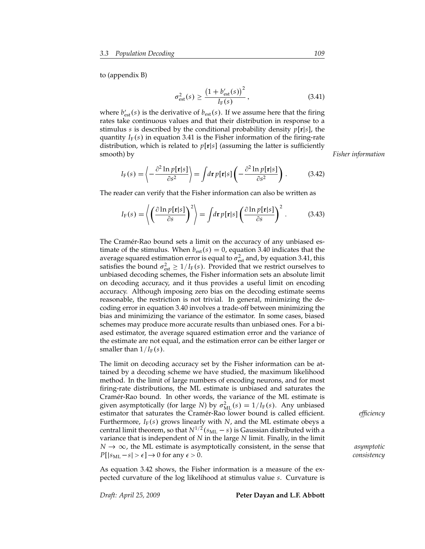to (appendix B)

$$
\sigma_{\text{est}}^2(s) \ge \frac{\left(1 + b'_{\text{est}}(s)\right)^2}{I_{\text{F}}(s)},\tag{3.41}
$$

where  $b'_{est}(s)$  is the derivative of  $b_{est}(s)$ . If we assume here that the firing rates take continuous values and that their distribution in response to a stimulus *s* is described by the conditional probability density *p*[**r**|*s*], the quantity  $I_F(s)$  in equation 3.41 is the Fisher information of the firing-rate distribution, which is related to *p*[**r**|*s*] (assuming the latter is sufficiently smooth) by *Fisher information*

$$
I_{\mathbf{F}}(s) = \left\langle -\frac{\partial^2 \ln p[\mathbf{r}|s]}{\partial s^2} \right\rangle = \int d\mathbf{r} \, p[\mathbf{r}|s] \left( -\frac{\partial^2 \ln p[\mathbf{r}|s]}{\partial s^2} \right). \tag{3.42}
$$

The reader can verify that the Fisher information can also be written as

$$
I_{\mathcal{F}}(s) = \left\langle \left(\frac{\partial \ln p[\mathbf{r}|s]}{\partial s}\right)^2 \right\rangle = \int d\mathbf{r} \, p[\mathbf{r}|s] \left(\frac{\partial \ln p[\mathbf{r}|s]}{\partial s}\right)^2. \tag{3.43}
$$

The Cramér-Rao bound sets a limit on the accuracy of any unbiased estimate of the stimulus. When  $b_{est}(s) = 0$ , equation 3.40 indicates that the average squared estimation error is equal to  $\sigma_{\text{est}}^2$  and, by equation 3.41, this satisfies the bound  $\sigma_{\text{est}}^2 \ge 1/I_F(s)$ . Provided that we restrict ourselves to unbiased decoding schemes, the Fisher information sets an absolute limit on decoding accuracy, and it thus provides a useful limit on encoding accuracy. Although imposing zero bias on the decoding estimate seems reasonable, the restriction is not trivial. In general, minimizing the decoding error in equation 3.40 involves a trade-off between minimizing the bias and minimizing the variance of the estimator. In some cases, biased schemes may produce more accurate results than unbiased ones. For a biased estimator, the average squared estimation error and the variance of the estimate are not equal, and the estimation error can be either larger or smaller than  $1/I_F(s)$ .

The limit on decoding accuracy set by the Fisher information can be attained by a decoding scheme we have studied, the maximum likelihood method. In the limit of large numbers of encoding neurons, and for most firing-rate distributions, the ML estimate is unbiased and saturates the Cramér-Rao bound. In other words, the variance of the ML estimate is given asymptotically (for large *N*) by  $\sigma_{ML}^2(s) = 1/I_F(s)$ . Any unbiased estimator that saturates the Cramer-Rao lower bound is called efficient. ´ *efficiency* Furthermore, *I*<sup>F</sup> (*s*) grows linearly with *N*, and the ML estimate obeys a central limit theorem, so that  $N^{1/2}(s_{ML} - s)$  is Gaussian distributed with a variance that is independent of *N* in the large *N* limit. Finally, in the limit *N* → ∞, the ML estimate is asymptotically consistent, in the sense that *asymptotic*  $P[|s_{ML}-s|>\epsilon] \rightarrow 0$  for any  $\epsilon > 0$ . *consistency* 

As equation 3.42 shows, the Fisher information is a measure of the expected curvature of the log likelihood at stimulus value *s*. Curvature is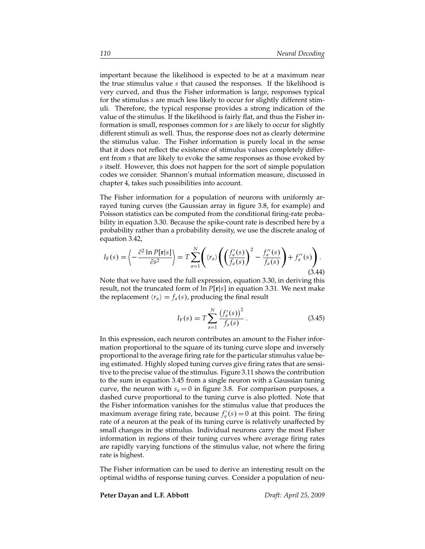important because the likelihood is expected to be at a maximum near the true stimulus value *s* that caused the responses. If the likelihood is very curved, and thus the Fisher information is large, responses typical for the stimulus *s* are much less likely to occur for slightly different stimuli. Therefore, the typical response provides a strong indication of the value of the stimulus. If the likelihood is fairly flat, and thus the Fisher information is small, responses common for *s* are likely to occur for slightly different stimuli as well. Thus, the response does not as clearly determine the stimulus value. The Fisher information is purely local in the sense that it does not reflect the existence of stimulus values completely different from *s* that are likely to evoke the same responses as those evoked by *s* itself. However, this does not happen for the sort of simple population codes we consider. Shannon's mutual information measure, discussed in chapter 4, takes such possibilities into account.

The Fisher information for a population of neurons with uniformly arrayed tuning curves (the Gaussian array in figure 3.8, for example) and Poisson statistics can be computed from the conditional firing-rate probability in equation 3.30. Because the spike-count rate is described here by a probability rather than a probability density, we use the discrete analog of equation 3.42,

$$
I_{\mathcal{F}}(s) = \left\langle -\frac{\partial^2 \ln P[\mathbf{r}|s]}{\partial s^2} \right\rangle = T \sum_{a=1}^N \left( \langle r_a \rangle \left( \left( \frac{f_a'(s)}{f_a(s)} \right)^2 - \frac{f_a''(s)}{f_a(s)} \right) + f_a''(s) \right). \tag{3.44}
$$

Note that we have used the full expression, equation 3.30, in deriving this result, not the truncated form of ln *P*[**r**|*s*] in equation 3.31. We next make the replacement  $\langle r_a \rangle = f_a(s)$ , producing the final result

$$
I_{\mathcal{F}}(s) = T \sum_{a=1}^{N} \frac{\left(f_a'(s)\right)^2}{f_a(s)}.
$$
 (3.45)

In this expression, each neuron contributes an amount to the Fisher information proportional to the square of its tuning curve slope and inversely proportional to the average firing rate for the particular stimulus value being estimated. Highly sloped tuning curves give firing rates that are sensitive to the precise value of the stimulus. Figure 3.11 shows the contribution to the sum in equation 3.45 from a single neuron with a Gaussian tuning curve, the neuron with  $s_a = 0$  in figure 3.8. For comparison purposes, a dashed curve proportional to the tuning curve is also plotted. Note that the Fisher information vanishes for the stimulus value that produces the maximum average firing rate, because  $f'_a(s) = 0$  at this point. The firing rate of a neuron at the peak of its tuning curve is relatively unaffected by small changes in the stimulus. Individual neurons carry the most Fisher information in regions of their tuning curves where average firing rates are rapidly varying functions of the stimulus value, not where the firing rate is highest.

The Fisher information can be used to derive an interesting result on the optimal widths of response tuning curves. Consider a population of neu-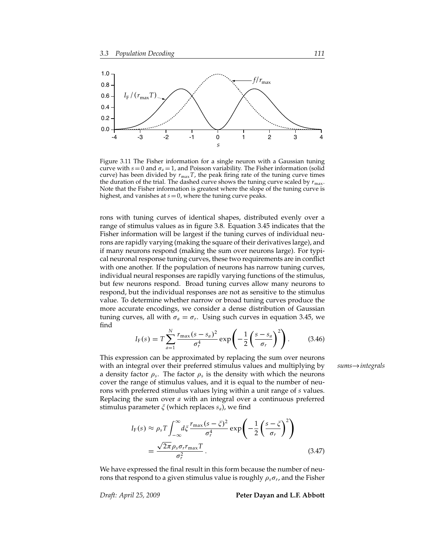

Figure 3.11 The Fisher information for a single neuron with a Gaussian tuning curve with  $s = 0$  and  $\sigma_a = 1$ , and Poisson variability. The Fisher information (solid curve) has been divided by  $r_{\text{max}}T$ , the peak firing rate of the tuning curve times the duration of the trial. The dashed curve shows the tuning curve scaled by  $r_{\text{max}}$ . Note that the Fisher information is greatest where the slope of the tuning curve is highest, and vanishes at  $s=0$ , where the tuning curve peaks.

rons with tuning curves of identical shapes, distributed evenly over a range of stimulus values as in figure 3.8. Equation 3.45 indicates that the Fisher information will be largest if the tuning curves of individual neurons are rapidly varying (making the square of their derivatives large), and if many neurons respond (making the sum over neurons large). For typical neuronal response tuning curves, these two requirements are in conflict with one another. If the population of neurons has narrow tuning curves, individual neural responses are rapidly varying functions of the stimulus, but few neurons respond. Broad tuning curves allow many neurons to respond, but the individual responses are not as sensitive to the stimulus value. To determine whether narrow or broad tuning curves produce the more accurate encodings, we consider a dense distribution of Gaussian tuning curves, all with  $\sigma_a = \sigma_r$ . Using such curves in equation 3.45, we find

$$
I_{F}(s) = T \sum_{a=1}^{N} \frac{r_{\max}(s - s_{a})^{2}}{\sigma_{r}^{4}} \exp\left(-\frac{1}{2} \left(\frac{s - s_{a}}{\sigma_{r}}\right)^{2}\right).
$$
 (3.46)

This expression can be approximated by replacing the sum over neurons with an integral over their preferred stimulus values and multiplying by *sums*→*integrals* a density factor  $\rho_s$ . The factor  $\rho_s$  is the density with which the neurons cover the range of stimulus values, and it is equal to the number of neurons with preferred stimulus values lying within a unit range of *s* values. Replacing the sum over *a* with an integral over a continuous preferred stimulus parameter ξ (which replaces *sa*), we find

$$
I_{F}(s) \approx \rho_{s} T \int_{-\infty}^{\infty} d\xi \frac{r_{\text{max}} (s - \xi)^{2}}{\sigma_{r}^{4}} \exp\left(-\frac{1}{2} \left(\frac{s - \xi}{\sigma_{r}}\right)^{2}\right)
$$

$$
= \frac{\sqrt{2\pi} \rho_{s} \sigma_{r} r_{\text{max}} T}{\sigma_{r}^{2}}.
$$
(3.47)

We have expressed the final result in this form because the number of neurons that respond to a given stimulus value is roughly ρ*s*σ*<sup>r</sup>* , and the Fisher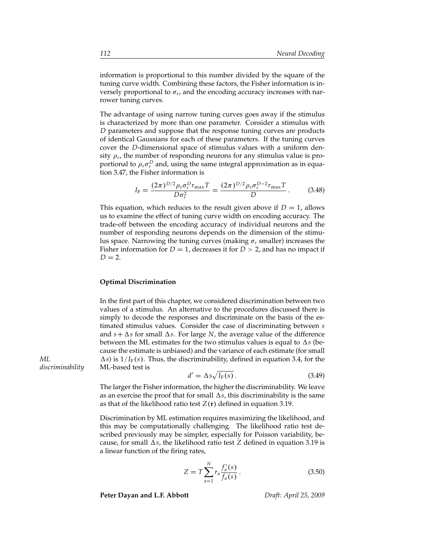information is proportional to this number divided by the square of the tuning curve width. Combining these factors, the Fisher information is inversely proportional to  $\sigma_r$ , and the encoding accuracy increases with narrower tuning curves.

The advantage of using narrow tuning curves goes away if the stimulus is characterized by more than one parameter. Consider a stimulus with *D* parameters and suppose that the response tuning curves are products of identical Gaussians for each of these parameters. If the tuning curves cover the *D*-dimensional space of stimulus values with a uniform density  $\rho_s$ , the number of responding neurons for any stimulus value is proportional to  $\rho_s \sigma_r^D$  and, using the same integral approximation as in equation 3.47, the Fisher information is

$$
I_{\rm F} = \frac{(2\pi)^{D/2} \rho_s \sigma_r^D r_{\rm max} T}{D \sigma_r^2} = \frac{(2\pi)^{D/2} \rho_s \sigma_r^{D-2} r_{\rm max} T}{D} \,. \tag{3.48}
$$

This equation, which reduces to the result given above if  $D = 1$ , allows us to examine the effect of tuning curve width on encoding accuracy. The trade-off between the encoding accuracy of individual neurons and the number of responding neurons depends on the dimension of the stimulus space. Narrowing the tuning curves (making  $\sigma_r$  smaller) increases the Fisher information for  $D = 1$ , decreases it for  $D > 2$ , and has no impact if  $D = 2$ .

### **Optimal Discrimination**

In the first part of this chapter, we considered discrimination between two values of a stimulus. An alternative to the procedures discussed there is simply to decode the responses and discriminate on the basis of the estimated stimulus values. Consider the case of discriminating between *s* and  $s + \Delta s$  for small  $\Delta s$ . For large *N*, the average value of the difference between the ML estimates for the two stimulus values is equal to  $\Delta s$  (because the estimate is unbiased) and the variance of each estimate (for small *ML*  $\Delta s$ ) is  $1/I_F(s)$ . Thus, the discriminability, defined in equation 3.4, for the *discriminability* ML-based test is

$$
d' = \Delta s \sqrt{I_{\rm F}(s)}\,. \tag{3.49}
$$

The larger the Fisher information, the higher the discriminability. We leave as an exercise the proof that for small  $\Delta s$ , this discriminability is the same as that of the likelihood ratio test  $Z(r)$  defined in equation 3.19.

Discrimination by ML estimation requires maximizing the likelihood, and this may be computationally challenging. The likelihood ratio test described previously may be simpler, especially for Poisson variability, because, for small  $\Delta s$ , the likelihood ratio test *Z* defined in equation 3.19 is a linear function of the firing rates,

$$
Z = T \sum_{a=1}^{N} r_a \frac{f'_a(s)}{f_a(s)}.
$$
 (3.50)